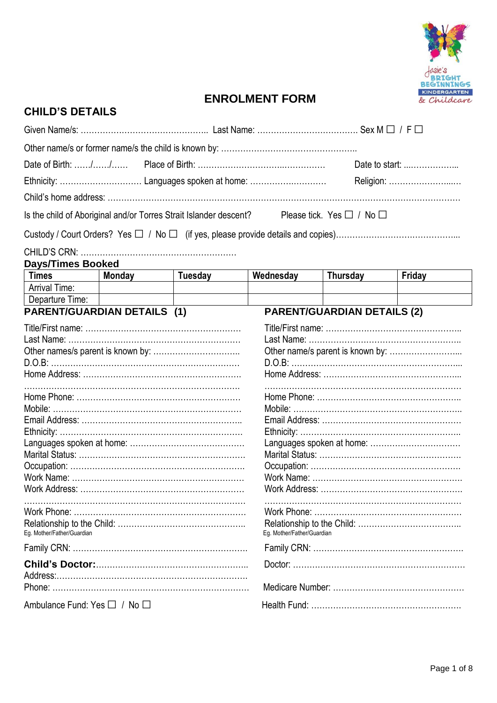

# **ENROLMENT FORM**

| <b>CHILD'S DETAILS</b>                                |        |                                                                                                       |                            |                                    |                |
|-------------------------------------------------------|--------|-------------------------------------------------------------------------------------------------------|----------------------------|------------------------------------|----------------|
|                                                       |        |                                                                                                       |                            |                                    |                |
|                                                       |        |                                                                                                       |                            |                                    |                |
|                                                       |        |                                                                                                       |                            |                                    | Date to start: |
|                                                       |        |                                                                                                       |                            |                                    | Religion:      |
|                                                       |        |                                                                                                       |                            |                                    |                |
|                                                       |        | Is the child of Aboriginal and/or Torres Strait Islander descent? Please tick. Yes $\Box$ / No $\Box$ |                            |                                    |                |
|                                                       |        |                                                                                                       |                            |                                    |                |
|                                                       |        |                                                                                                       |                            |                                    |                |
| <b>Days/Times Booked</b>                              |        |                                                                                                       |                            |                                    |                |
| <b>Times</b>                                          | Monday | Tuesday                                                                                               | Wednesday                  | Thursday                           | Friday         |
| <b>Arrival Time:</b>                                  |        |                                                                                                       |                            |                                    |                |
| Departure Time:<br><b>PARENT/GUARDIAN DETAILS (1)</b> |        |                                                                                                       |                            | <b>PARENT/GUARDIAN DETAILS (2)</b> |                |
|                                                       |        |                                                                                                       | Languages spoken at home:  |                                    |                |
| Eg. Mother/Father/Guardian                            |        |                                                                                                       | Eg. Mother/Father/Guardian |                                    |                |
|                                                       |        |                                                                                                       |                            |                                    |                |
|                                                       |        |                                                                                                       |                            |                                    |                |
| Ambulance Fund: Yes □ / No □                          |        |                                                                                                       |                            |                                    |                |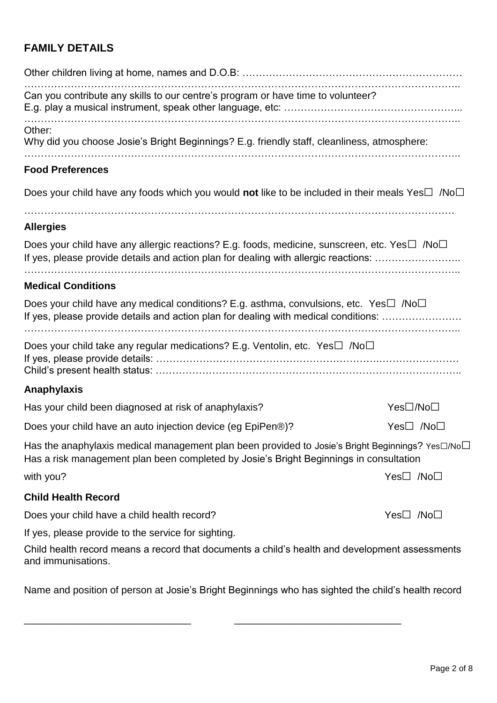# **FAMILY DETAILS**

| Can you contribute any skills to our centre's program or have time to volunteer?                                                                                                                              |                       |
|---------------------------------------------------------------------------------------------------------------------------------------------------------------------------------------------------------------|-----------------------|
| Other:<br>Why did you choose Josie's Bright Beginnings? E.g. friendly staff, cleanliness, atmosphere:                                                                                                         |                       |
| <b>Food Preferences</b>                                                                                                                                                                                       |                       |
| Does your child have any foods which you would not like to be included in their meals Yes $\Box$ /No $\Box$                                                                                                   |                       |
| <b>Allergies</b>                                                                                                                                                                                              |                       |
| Does your child have any allergic reactions? E.g. foods, medicine, sunscreen, etc. Yes $\Box$ /No $\Box$<br>If yes, please provide details and action plan for dealing with allergic reactions:               |                       |
| <b>Medical Conditions</b>                                                                                                                                                                                     |                       |
| Does your child have any medical conditions? E.g. asthma, convulsions, etc. Yes $\square$ /No $\square$<br>If yes, please provide details and action plan for dealing with medical conditions:                |                       |
| Does your child take any regular medications? E.g. Ventolin, etc. Yes $\square$ /No $\square$                                                                                                                 |                       |
| <b>Anaphylaxis</b>                                                                                                                                                                                            |                       |
| Has your child been diagnosed at risk of anaphylaxis?                                                                                                                                                         | Yes□/No□              |
| Does your child have an auto injection device (eg EpiPen®)?                                                                                                                                                   | Yes□ /No□             |
| Has the anaphylaxis medical management plan been provided to Josie's Bright Beginnings? Yes $\square$ /No $\square$<br>Has a risk management plan been completed by Josie's Bright Beginnings in consultation |                       |
| with you?                                                                                                                                                                                                     | $Yes \Box$ /No $\Box$ |
| <b>Child Health Record</b>                                                                                                                                                                                    |                       |
| Does your child have a child health record?                                                                                                                                                                   | $Yes \Box$ /No $\Box$ |
| If yes, please provide to the service for sighting.                                                                                                                                                           |                       |
| Child health record means a record that documents a child's health and development assessments<br>and immunisations.                                                                                          |                       |
| Name and position of person at Josie's Bright Beginnings who has sighted the child's health record                                                                                                            |                       |

\_\_\_\_\_\_\_\_\_\_\_\_\_\_\_\_\_\_\_\_\_\_\_\_\_\_\_\_\_\_ \_\_\_\_\_\_\_\_\_\_\_\_\_\_\_\_\_\_\_\_\_\_\_\_\_\_\_\_\_\_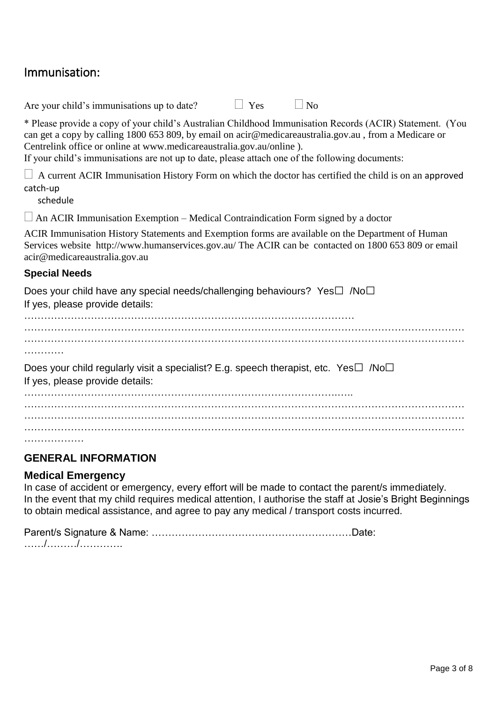# Immunisation:

Are your child's immunisations up to date?  $\Box$  Yes  $\Box$  No

\* Please provide a copy of your child's Australian Childhood Immunisation Records (ACIR) Statement. (You can get a copy by calling 1800 653 809, by email on acir@medicareaustralia.gov.au , from a Medicare or Centrelink office or online at www.medicareaustralia.gov.au/online ).

If your child's immunisations are not up to date, please attach one of the following documents:

 $\Box$  A current ACIR Immunisation History Form on which the doctor has certified the child is on an approved catch-up

schedule

 $\Box$  An ACIR Immunisation Exemption – Medical Contraindication Form signed by a doctor

ACIR Immunisation History Statements and Exemption forms are available on the Department of Human Services website http://www.humanservices.gov.au/ The ACIR can be contacted on 1800 653 809 or email acir@medicareaustralia.gov.au

#### **Special Needs**

Does your child have any special needs/challenging behaviours? Yes□ /No□ If yes, please provide details:

……………………………………………………………………………………… …………………………………………………………………………………………………………………… …………………………………………………………………………………………………………………… ………… Does your child regularly visit a specialist? E.g. speech therapist, etc. Yes $\square$  /No $\square$ If yes, please provide details: ………………………………………………………………………………….….. …………………………………………………………………………………………………………………… …………………………………………………………………………………………………………………… ……………………………………………………………………………………………………………………

## **GENERAL INFORMATION**

## **Medical Emergency**

In case of accident or emergency, every effort will be made to contact the parent/s immediately. In the event that my child requires medical attention, I authorise the staff at Josie's Bright Beginnings to obtain medical assistance, and agree to pay any medical / transport costs incurred.

Parent/s Signature & Name: ……………………………………………………Date: ……/………/………….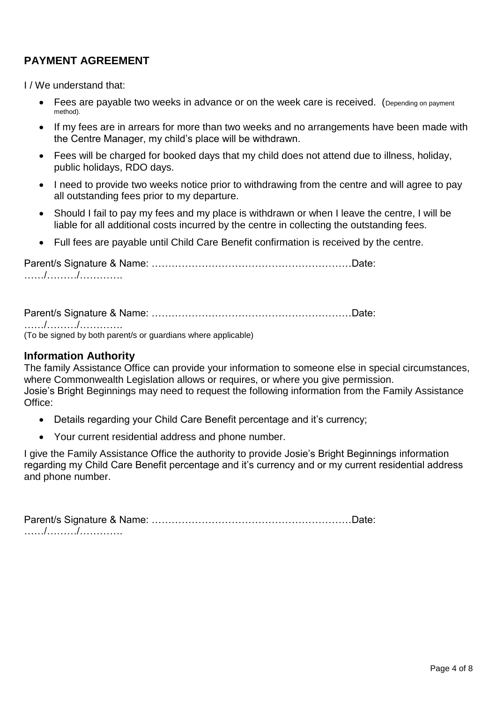# **PAYMENT AGREEMENT**

I / We understand that:

- Fees are payable two weeks in advance or on the week care is received. (Depending on payment method).
- If my fees are in arrears for more than two weeks and no arrangements have been made with the Centre Manager, my child's place will be withdrawn.
- Fees will be charged for booked days that my child does not attend due to illness, holiday, public holidays, RDO days.
- I need to provide two weeks notice prior to withdrawing from the centre and will agree to pay all outstanding fees prior to my departure.
- Should I fail to pay my fees and my place is withdrawn or when I leave the centre, I will be liable for all additional costs incurred by the centre in collecting the outstanding fees.
- Full fees are payable until Child Care Benefit confirmation is received by the centre.

Parent/s Signature & Name: ……………………………………………………Date: ……/………/………….

Parent/s Signature & Name: ……………………………………………………Date: ……/………/………….

(To be signed by both parent/s or guardians where applicable)

#### **Information Authority**

The family Assistance Office can provide your information to someone else in special circumstances, where Commonwealth Legislation allows or requires, or where you give permission. Josie's Bright Beginnings may need to request the following information from the Family Assistance Office:

- Details regarding your Child Care Benefit percentage and it's currency;
- Your current residential address and phone number.

I give the Family Assistance Office the authority to provide Josie's Bright Beginnings information regarding my Child Care Benefit percentage and it's currency and or my current residential address and phone number.

Parent/s Signature & Name: ……………………………………………………Date: ……/………/………….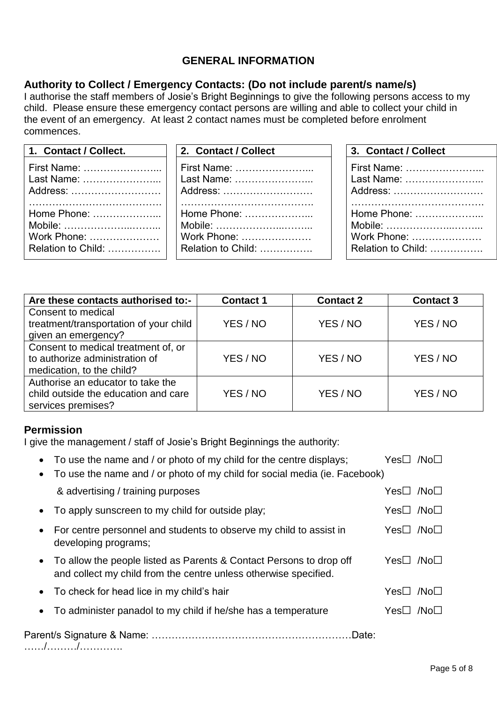# **GENERAL INFORMATION**

## **Authority to Collect / Emergency Contacts: (Do not include parent/s name/s)**

I authorise the staff members of Josie's Bright Beginnings to give the following persons access to my child. Please ensure these emergency contact persons are willing and able to collect your child in the event of an emergency. At least 2 contact names must be completed before enrolment commences.

| 1. Contact / Collect. | 2. Contact / Collect | 3. Contact / Collect |
|-----------------------|----------------------|----------------------|
|                       | First Name:          | First Name:          |
|                       | Last Name:           | Last Name:           |
|                       | Address:             | Address:             |
|                       |                      |                      |
|                       | Home Phone:          | Home Phone:          |
|                       | Mobile:              | Mobile:              |
|                       | Work Phone:          | Work Phone:          |
|                       | Relation to Child:   | Relation to Child:   |

| Are these contacts authorised to:-     | <b>Contact 1</b> | <b>Contact 2</b> | <b>Contact 3</b> |
|----------------------------------------|------------------|------------------|------------------|
| Consent to medical                     |                  |                  |                  |
| treatment/transportation of your child | YES / NO         | YES / NO         | YES / NO         |
| given an emergency?                    |                  |                  |                  |
| Consent to medical treatment of, or    |                  |                  |                  |
| to authorize administration of         | YES / NO         | YES / NO         | YES / NO         |
| medication, to the child?              |                  |                  |                  |
| Authorise an educator to take the      |                  |                  |                  |
| child outside the education and care   | YES / NO         | YES / NO         | YES / NO         |
| services premises?                     |                  |                  |                  |

## **Permission**

I give the management / staff of Josie's Bright Beginnings the authority:

| To use the name and / or photo of my child for the centre displays;<br>To use the name and / or photo of my child for social media (ie. Facebook) |           |        |
|---------------------------------------------------------------------------------------------------------------------------------------------------|-----------|--------|
| & advertising / training purposes                                                                                                                 | Yes□ /No□ |        |
| To apply sunscreen to my child for outside play;                                                                                                  |           |        |
| For centre personnel and students to observe my child to assist in<br>$\bullet$<br>developing programs;                                           |           |        |
| To allow the people listed as Parents & Contact Persons to drop off<br>and collect my child from the centre unless otherwise specified.           | Yes⊟      | /No∐   |
| To check for head lice in my child's hair                                                                                                         | Yes⊔_     | /Nol I |
| To administer panadol to my child if he/she has a temperature                                                                                     |           |        |
| Date:                                                                                                                                             |           |        |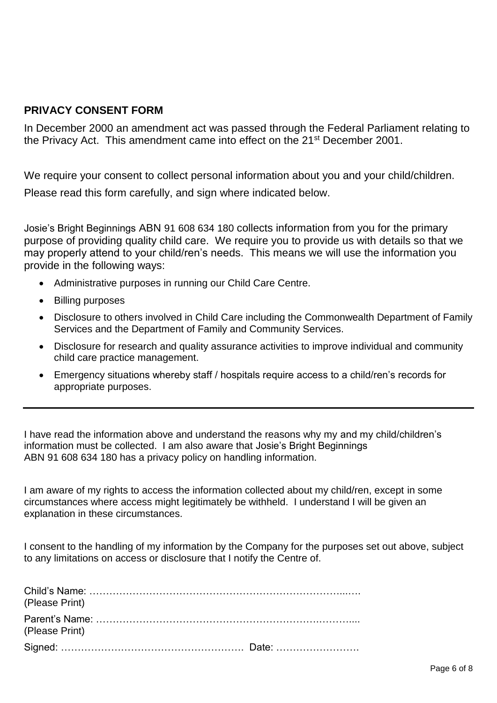## **PRIVACY CONSENT FORM**

In December 2000 an amendment act was passed through the Federal Parliament relating to the Privacy Act. This amendment came into effect on the 21st December 2001.

We require your consent to collect personal information about you and your child/children. Please read this form carefully, and sign where indicated below.

Josie's Bright Beginnings ABN 91 608 634 180 collects information from you for the primary purpose of providing quality child care. We require you to provide us with details so that we may properly attend to your child/ren's needs. This means we will use the information you provide in the following ways:

- Administrative purposes in running our Child Care Centre.
- Billing purposes
- Disclosure to others involved in Child Care including the Commonwealth Department of Family Services and the Department of Family and Community Services.
- Disclosure for research and quality assurance activities to improve individual and community child care practice management.
- Emergency situations whereby staff / hospitals require access to a child/ren's records for appropriate purposes.

I have read the information above and understand the reasons why my and my child/children's information must be collected. I am also aware that Josie's Bright Beginnings ABN 91 608 634 180 has a privacy policy on handling information.

I am aware of my rights to access the information collected about my child/ren, except in some circumstances where access might legitimately be withheld. I understand I will be given an explanation in these circumstances.

I consent to the handling of my information by the Company for the purposes set out above, subject to any limitations on access or disclosure that I notify the Centre of.

| (Please Print) |  |
|----------------|--|
| (Please Print) |  |
|                |  |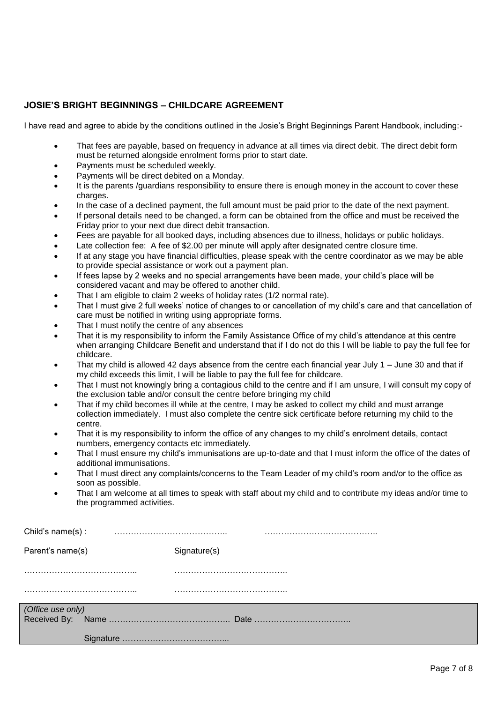#### **JOSIE'S BRIGHT BEGINNINGS – CHILDCARE AGREEMENT**

I have read and agree to abide by the conditions outlined in the Josie's Bright Beginnings Parent Handbook, including:-

- That fees are payable, based on frequency in advance at all times via direct debit. The direct debit form must be returned alongside enrolment forms prior to start date.
- Payments must be scheduled weekly.
- Payments will be direct debited on a Monday.
- It is the parents /guardians responsibility to ensure there is enough money in the account to cover these charges.
- In the case of a declined payment, the full amount must be paid prior to the date of the next payment.
- If personal details need to be changed, a form can be obtained from the office and must be received the Friday prior to your next due direct debit transaction.
- Fees are payable for all booked days, including absences due to illness, holidays or public holidays.
- Late collection fee: A fee of \$2.00 per minute will apply after designated centre closure time.
- If at any stage you have financial difficulties, please speak with the centre coordinator as we may be able to provide special assistance or work out a payment plan.
- If fees lapse by 2 weeks and no special arrangements have been made, your child's place will be considered vacant and may be offered to another child.
- That I am eligible to claim 2 weeks of holiday rates (1/2 normal rate).
- That I must give 2 full weeks' notice of changes to or cancellation of my child's care and that cancellation of care must be notified in writing using appropriate forms.
- That I must notify the centre of any absences
- That it is my responsibility to inform the Family Assistance Office of my child's attendance at this centre when arranging Childcare Benefit and understand that if I do not do this I will be liable to pay the full fee for childcare.
- That my child is allowed 42 days absence from the centre each financial year July 1 June 30 and that if my child exceeds this limit, I will be liable to pay the full fee for childcare.
- That I must not knowingly bring a contagious child to the centre and if I am unsure, I will consult my copy of the exclusion table and/or consult the centre before bringing my child
- That if my child becomes ill while at the centre, I may be asked to collect my child and must arrange collection immediately. I must also complete the centre sick certificate before returning my child to the centre.
- That it is my responsibility to inform the office of any changes to my child's enrolment details, contact numbers, emergency contacts etc immediately.
- That I must ensure my child's immunisations are up-to-date and that I must inform the office of the dates of additional immunisations.
- That I must direct any complaints/concerns to the Team Leader of my child's room and/or to the office as soon as possible.
- That I am welcome at all times to speak with staff about my child and to contribute my ideas and/or time to the programmed activities.

| Child's name $(s)$ : |              |  |
|----------------------|--------------|--|
| Parent's name(s)     | Signature(s) |  |
|                      |              |  |
|                      |              |  |
| (Office use only)    |              |  |
|                      |              |  |
|                      |              |  |
|                      |              |  |